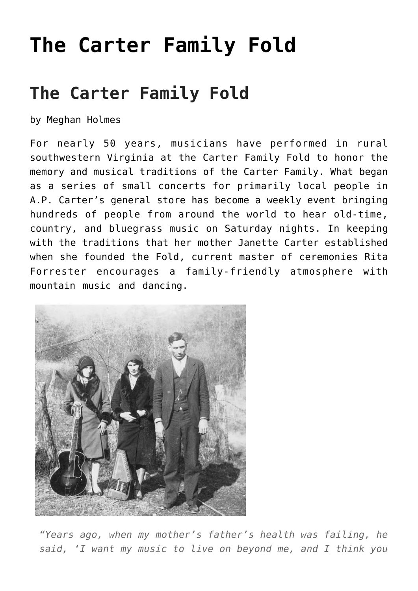# **[The Carter Family Fold](https://thebluegrassstandard.com/the-carter-family-fold/)**

## **The Carter Family Fold**

by Meghan Holmes

For nearly 50 years, musicians have performed in rural southwestern Virginia at the Carter Family Fold to honor the memory and musical traditions of the Carter Family. What began as a series of small concerts for primarily local people in A.P. Carter's general store has become a weekly event bringing hundreds of people from around the world to hear old-time, country, and bluegrass music on Saturday nights. In keeping with the traditions that her mother Janette Carter established when she founded the Fold, current master of ceremonies Rita Forrester encourages a family-friendly atmosphere with mountain music and dancing.



*"Years ago, when my mother's father's health was failing, he said, 'I want my music to live on beyond me, and I think you*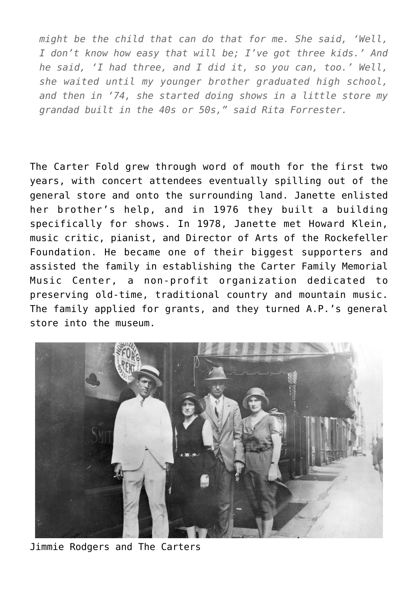*might be the child that can do that for me. She said, 'Well, I don't know how easy that will be; I've got three kids.' And he said, 'I had three, and I did it, so you can, too.' Well, she waited until my younger brother graduated high school, and then in '74, she started doing shows in a little store my grandad built in the 40s or 50s," said Rita Forrester.*

The Carter Fold grew through word of mouth for the first two years, with concert attendees eventually spilling out of the general store and onto the surrounding land. Janette enlisted her brother's help, and in 1976 they built a building specifically for shows. In 1978, Janette met Howard Klein, music critic, pianist, and Director of Arts of the Rockefeller Foundation. He became one of their biggest supporters and assisted the family in establishing the Carter Family Memorial Music Center, a non-profit organization dedicated to preserving old-time, traditional country and mountain music. The family applied for grants, and they turned A.P.'s general store into the museum.



Jimmie Rodgers and The Carters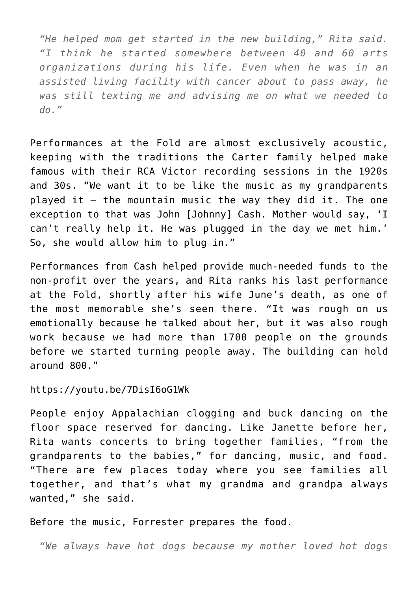*"He helped mom get started in the new building," Rita said. "I think he started somewhere between 40 and 60 arts organizations during his life. Even when he was in an assisted living facility with cancer about to pass away, he was still texting me and advising me on what we needed to do."* 

Performances at the Fold are almost exclusively acoustic, keeping with the traditions the Carter family helped make famous with their RCA Victor recording sessions in the 1920s and 30s. "We want it to be like the music as my grandparents played it – the mountain music the way they did it. The one exception to that was John [Johnny] Cash. Mother would say, 'I can't really help it. He was plugged in the day we met him.' So, she would allow him to plug in."

Performances from Cash helped provide much-needed funds to the non-profit over the years, and Rita ranks his last performance at the Fold, shortly after his wife June's death, as one of the most memorable she's seen there. "It was rough on us emotionally because he talked about her, but it was also rough work because we had more than 1700 people on the grounds before we started turning people away. The building can hold around 800."

#### https://youtu.be/7DisI6oG1Wk

People enjoy Appalachian clogging and buck dancing on the floor space reserved for dancing. Like Janette before her, Rita wants concerts to bring together families, "from the grandparents to the babies," for dancing, music, and food. "There are few places today where you see families all together, and that's what my grandma and grandpa always wanted," she said.

#### Before the music, Forrester prepares the food.

*"We always have hot dogs because my mother loved hot dogs*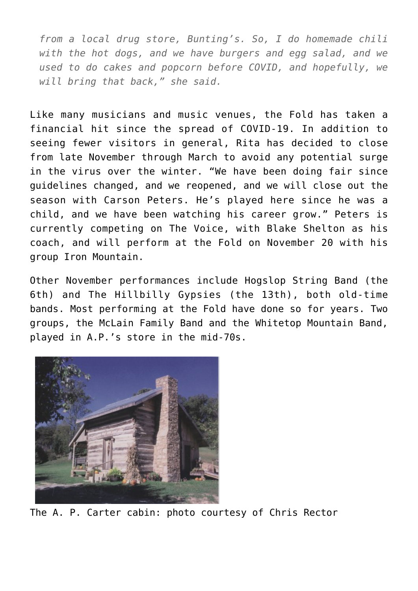*from a local drug store, Bunting's. So, I do homemade chili with the hot dogs, and we have burgers and egg salad, and we used to do cakes and popcorn before COVID, and hopefully, we will bring that back," she said.*

Like many musicians and music venues, the Fold has taken a financial hit since the spread of COVID-19. In addition to seeing fewer visitors in general, Rita has decided to close from late November through March to avoid any potential surge in the virus over the winter. "We have been doing fair since guidelines changed, and we reopened, and we will close out the season with Carson Peters. He's played here since he was a child, and we have been watching his career grow." Peters is currently competing on The Voice, with Blake Shelton as his coach, and will perform at the Fold on November 20 with his group Iron Mountain.

Other November performances include Hogslop String Band (the 6th) and The Hillbilly Gypsies (the 13th), both old-time bands. Most performing at the Fold have done so for years. Two groups, the McLain Family Band and the Whitetop Mountain Band, played in A.P.'s store in the mid-70s.



The A. P. Carter cabin: photo courtesy of Chris Rector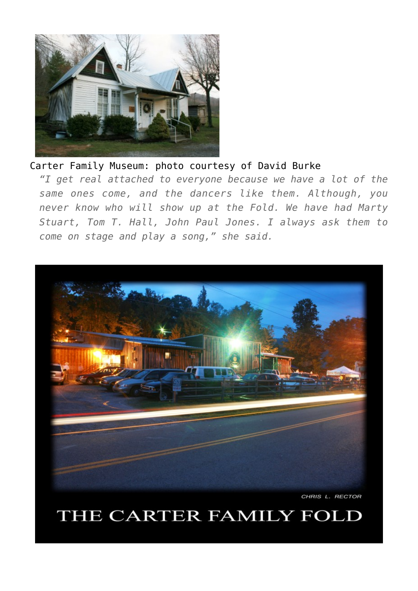

#### Carter Family Museum: photo courtesy of David Burke

*"I get real attached to everyone because we have a lot of the same ones come, and the dancers like them. Although, you never know who will show up at the Fold. We have had Marty Stuart, Tom T. Hall, John Paul Jones. I always ask them to come on stage and play a song," she said.* 



CHRIS L. RECTOR

### THE CARTER FAMILY FOLD